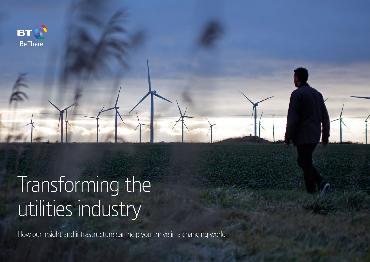

# Transforming the utilities industry

How our insight and infrastructure can help you thrive in a changing world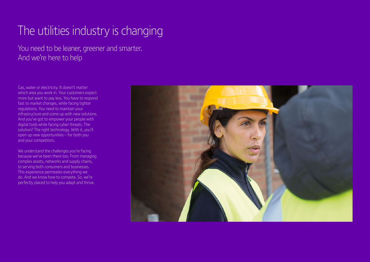## The utilities industry is changing

You need to be leaner, greener and smarter. And we're here to help

Gas, water or electricity. It doesn't matter which area you work in. Your customers expect more but want to pay less. You have to respond fast to market changes, while facing tighter regulations. You need to maintain your infrastructure and come up with new solutions. And you've got to empower your people with digital tools while facing cyber threats. The solution? The right technology. With it, you'll open up new opportunities – for both you and your competitors.

We understand the challenges you're facing because we've been there too. From managing complex assets, networks and supply chains, to serving both consumers and businesses. This experience permeates everything we do. And we know how to compete. So, we're perfectly placed to help you adapt and thrive.

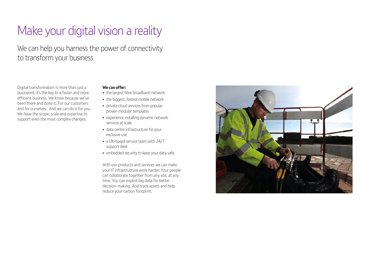## Make your digital vision a reality

We can help you harness the power of connectivity to transform your business

Digital transformation is more than just a buzzword, it's the key to a faster and more efficient business. We know because we've been there and done it. For our customers and for ourselves. And we can do it for you. We have the scope, scale and expertise to support even the most complex changes.

### **We can offer:**

- the largest fibre broadband network
- the biggest, fastest mobile network
- private cloud services from popular proven modular templates
- experience installing dynamic network services at scale
- data centre infrastructure for your exclusive use
- a UK-based service team with 24/7 support desk
- embedded security to keep your data safe.

With our products and services we can make your IT infrastructure work harder. Your people can collaborate together from any site, at any time. You can exploit big data for better decision-making. And track assets and help reduce your carbon footprint.

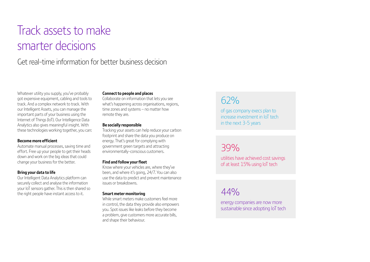## Track assets to make smarter decisions

### Get real-time information for better business decision

Whatever utility you supply, you've probably got expensive equipment, cabling and tools to track. And a complex network to track. With our Intelligent Assets, you can manage the important parts of your business using the Internet of Things (IoT). Our Intelligence Data Analytics also gives meaningful insight. With these technologies working together, you can:

#### **Become more efficient**

Automate manual processes, saving time and effort. Free up your people to get their heads down and work on the big ideas that could change your business for the better.

### **Bring your data to life**

Our Intelligent Data Analytics platform can securely collect and analyse the information your IoT sensors gather. This is then shared so the right people have instant access to it.

#### **Connect to people and places**

Collaborate on information that lets you see what's happening across organisations, regions, time zones and systems – no matter how remote they are.

#### **Be socially responsible**

Tracking your assets can help reduce your carbon footprint and share the data you produce on energy. That's great for complying with government green targets and attracting environmentally-conscious customers.

### **Find and follow your fleet**

Know where your vehicles are, where they've been, and where it's going, 24/7. You can also use the data to predict and prevent maintenance issues or breakdowns.

#### **Smart meter monitoring**

While smart meters make customers feel more in control, the data they provide also empowers you. Spot issues like leaks before they become a problem, give customers more accurate bills, and shape their behaviour.

### 62%

of gas company execs plan to increase investment in IoT tech in the next 3-5 years

## 39%

utilities have achieved cost savings of at least 15% using IoT tech

 $44%$ 

energy companies are now more sustainable since adopting IoT tech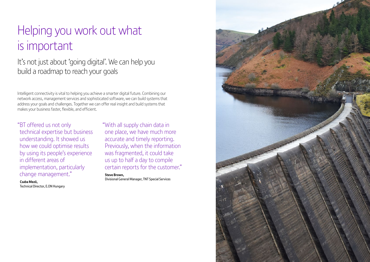## Helping you work out what is important

It's not just about 'going digital'. We can help you build a roadmap to reach your goals

Intelligent connectivity is vital to helping you achieve a smarter digital future. Combining our network access, management services and sophisticated software, we can build systems that address your goals and challenges. Together we can offer real insight and build systems that makes your business faster, flexible, and efficient.

### "BT offered us not only

technical expertise but business understanding. It showed us how we could optimise results by using its people's experience in different areas of implementation, particularly change management."

**Csaba Mezö,**  Technical Director, E.ON Hungary "With all supply chain data in one place, we have much more accurate and timely reporting. Previously, when the information was fragmented, it could take us up to half a day to compile certain reports for the customer."

**Steve Brown,**  Divisional General Manager, TNT Special Services

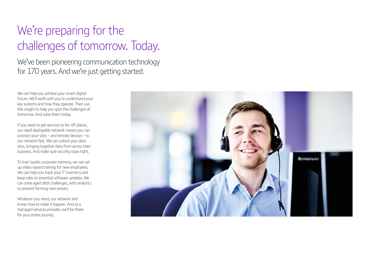## We're preparing for the challenges of tomorrow. Today.

We've been pioneering communication technology for 170 years. And we're just getting started.

We can help you achieve your smart digital future. We'll work with you to understand your key systems and how they operate. Then use this insight to help you spot the challenges of tomorrow. And solve them today.

If you need to get services to far-off places, our rapid deployable network means you can connect your sites – and remote devices – to our network fast. We can unlock your data silos, bringing together data from across their business. And make sure security stays tight.

To train tackle corporate memory, we can set up video-based training for new employees. We can help you track your IT inventory and keep tabs on essential software updates. We can solve aged debt challenges, with analytics to prevent forming new arrears.

Whatever you need, our network and know-how to make it happen. And as a managed services provider, we'll be there for your entire journey.

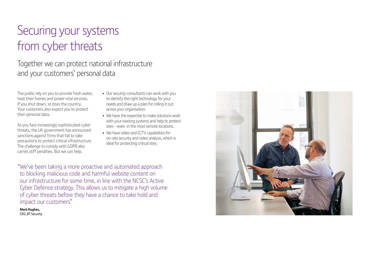## Securing your systems from cyber threats

## Together we can protect national infrastructure and your customers' personal data

The public rely on you to provide fresh water, heat their homes and power vital services. If you shut down, so does the country. Your customers also expect you to protect their personal data.

As you face increasingly sophisticated cyber threats, the UK government has announced sanctions against firms that fail to take precautions to protect critical infrastructure. The challenge to comply with GDPR also carries stiff penalties. But we can help.

- Our security consultants can work with you to identify the right technology for your needs and draw up a plan for rolling it out across your organisation.
- We have the expertise to make solutions work with your existing systems and help to protect sites – even in the most remote locations.
- We have video and CCTV capabilities for on-site security and video analysis, which is ideal for protecting critical sites.

"We've been taking a more proactive and automated approach to blocking malicious code and harmful website content on our infrastructure for some time, in line with the NCSC's Active Cyber Defence strategy. This allows us to mitigate a high volume of cyber threats before they have a chance to take hold and impact our customers"

**Mark Hughes,**  CEO, BT Security